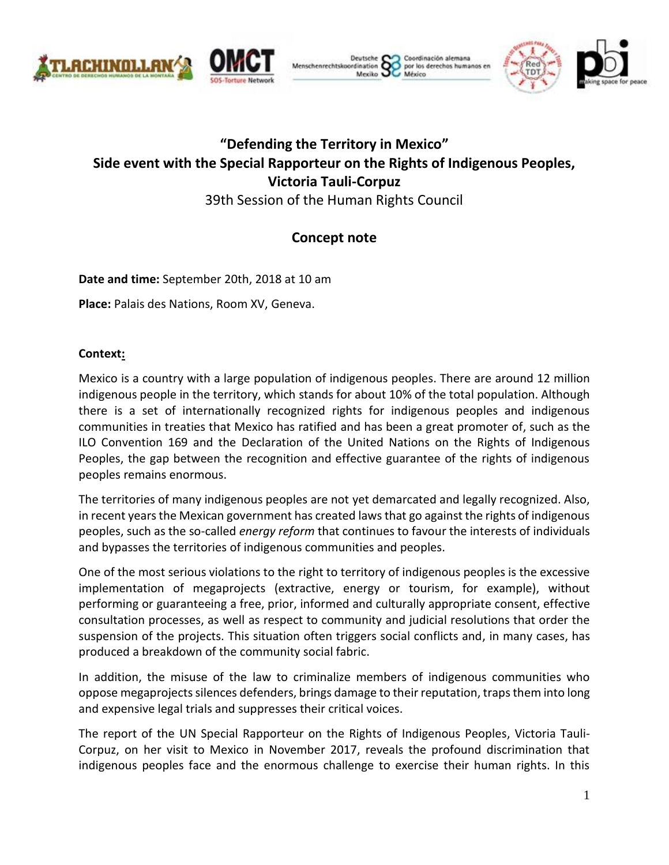



Deutsche Coordinación alemana enrechtskoordination por los derechos humanos er Mexiko L México



# **"Defending the Territory in Mexico" Side event with the Special Rapporteur on the Rights of Indigenous Peoples, Victoria Tauli-Corpuz**

39th Session of the Human Rights Council

# **Concept note**

**Date and time:** September 20th, 2018 at 10 am

**Place:** Palais des Nations, Room XV, Geneva.

# **Context:**

Mexico is a country with a large population of indigenous peoples. There are around 12 million indigenous people in the territory, which stands for about 10% of the total population. Although there is a set of internationally recognized rights for indigenous peoples and indigenous communities in treaties that Mexico has ratified and has been a great promoter of, such as the ILO Convention 169 and the Declaration of the United Nations on the Rights of Indigenous Peoples, the gap between the recognition and effective guarantee of the rights of indigenous peoples remains enormous.

The territories of many indigenous peoples are not yet demarcated and legally recognized. Also, in recent years the Mexican government has created laws that go against the rights of indigenous peoples, such as the so-called *energy reform* that continues to favour the interests of individuals and bypasses the territories of indigenous communities and peoples.

One of the most serious violations to the right to territory of indigenous peoples is the excessive implementation of megaprojects (extractive, energy or tourism, for example), without performing or guaranteeing a free, prior, informed and culturally appropriate consent, effective consultation processes, as well as respect to community and judicial resolutions that order the suspension of the projects. This situation often triggers social conflicts and, in many cases, has produced a breakdown of the community social fabric.

In addition, the misuse of the law to criminalize members of indigenous communities who oppose megaprojects silences defenders, brings damage to their reputation, traps them into long and expensive legal trials and suppresses their critical voices.

The report of the UN Special Rapporteur on the Rights of Indigenous Peoples, Victoria Tauli-Corpuz, on her visit to Mexico in November 2017, reveals the profound discrimination that indigenous peoples face and the enormous challenge to exercise their human rights. In this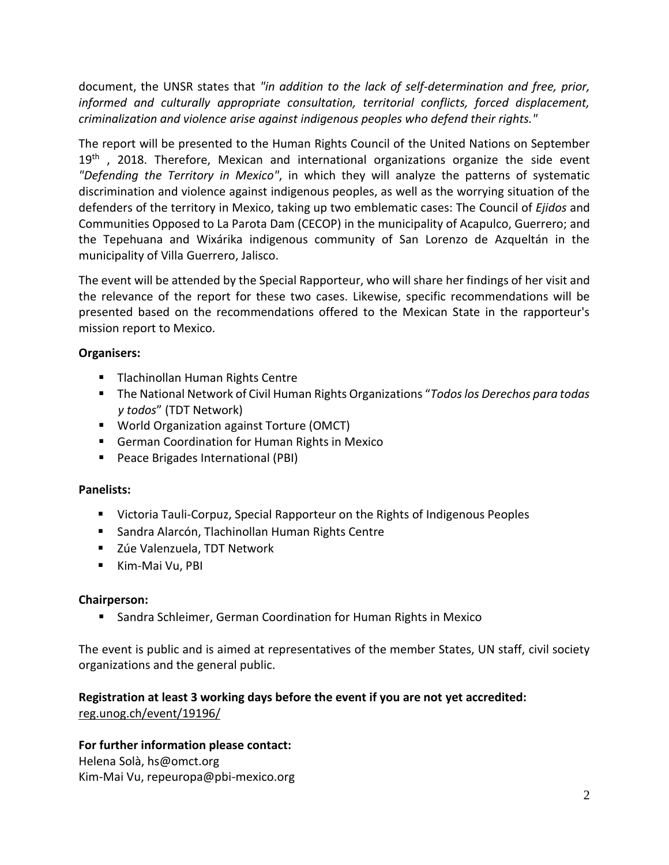document, the UNSR states that *"in addition to the lack of self-determination and free, prior, informed and culturally appropriate consultation, territorial conflicts, forced displacement, criminalization and violence arise against indigenous peoples who defend their rights."*

The report will be presented to the Human Rights Council of the United Nations on September  $19<sup>th</sup>$ , 2018. Therefore, Mexican and international organizations organize the side event *"Defending the Territory in Mexico"*, in which they will analyze the patterns of systematic discrimination and violence against indigenous peoples, as well as the worrying situation of the defenders of the territory in Mexico, taking up two emblematic cases: The Council of *Ejidos* and Communities Opposed to La Parota Dam (CECOP) in the municipality of Acapulco, Guerrero; and the Tepehuana and Wixárika indigenous community of San Lorenzo de Azqueltán in the municipality of Villa Guerrero, Jalisco.

The event will be attended by the Special Rapporteur, who will share her findings of her visit and the relevance of the report for these two cases. Likewise, specific recommendations will be presented based on the recommendations offered to the Mexican State in the rapporteur's mission report to Mexico.

# **Organisers:**

- **Tlachinollan Human Rights Centre**
- The National Network of Civil Human Rights Organizations "*Todos los Derechos para todas y todos*" (TDT Network)
- World Organization against Torture (OMCT)
- German Coordination for Human Rights in Mexico
- **Peace Brigades International (PBI)**

# **Panelists:**

- Victoria Tauli-Corpuz, Special Rapporteur on the Rights of Indigenous Peoples
- Sandra Alarcón, Tlachinollan Human Rights Centre
- Zúe Valenzuela, TDT Network
- **Kim-Mai Vu, PBI**

# **Chairperson:**

**Sandra Schleimer, German Coordination for Human Rights in Mexico** 

The event is public and is aimed at representatives of the member States, UN staff, civil society organizations and the general public.

#### **Registration at least 3 working days before the event if you are not yet accredited:** reg.unog.ch/event/19196/

# **For further information please contact:**

Helena Solà, hs@omct.org Kim-Mai Vu, repeuropa@pbi-mexico.org